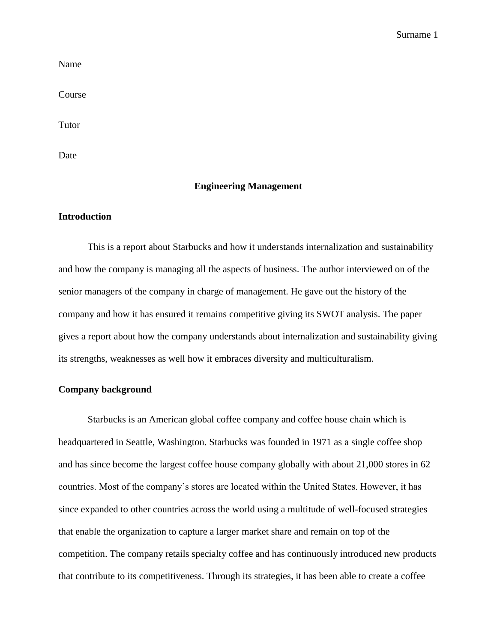Name

Course

Tutor

Date

### **Engineering Management**

### **Introduction**

This is a report about Starbucks and how it understands internalization and sustainability and how the company is managing all the aspects of business. The author interviewed on of the senior managers of the company in charge of management. He gave out the history of the company and how it has ensured it remains competitive giving its SWOT analysis. The paper gives a report about how the company understands about internalization and sustainability giving its strengths, weaknesses as well how it embraces diversity and multiculturalism.

## **Company background**

Starbucks is an American global coffee company and coffee house chain which is headquartered in Seattle, Washington. Starbucks was founded in 1971 as a single coffee shop and has since become the largest coffee house company globally with about 21,000 stores in 62 countries. Most of the company's stores are located within the United States. However, it has since expanded to other countries across the world using a multitude of well-focused strategies that enable the organization to capture a larger market share and remain on top of the competition. The company retails specialty coffee and has continuously introduced new products that contribute to its competitiveness. Through its strategies, it has been able to create a coffee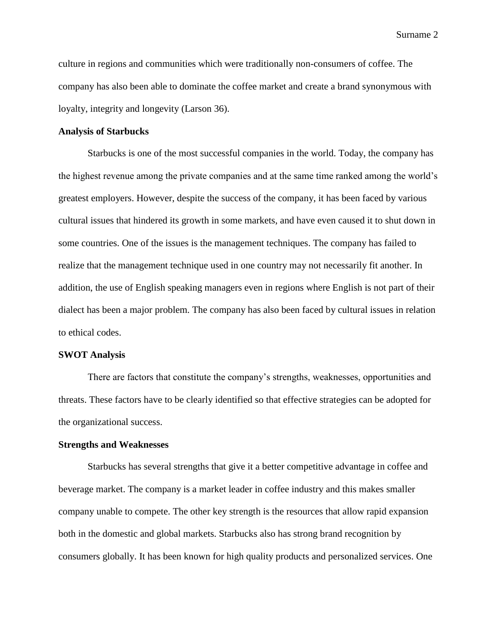culture in regions and communities which were traditionally non-consumers of coffee. The company has also been able to dominate the coffee market and create a brand synonymous with loyalty, integrity and longevity (Larson 36).

### **Analysis of Starbucks**

Starbucks is one of the most successful companies in the world. Today, the company has the highest revenue among the private companies and at the same time ranked among the world's greatest employers. However, despite the success of the company, it has been faced by various cultural issues that hindered its growth in some markets, and have even caused it to shut down in some countries. One of the issues is the management techniques. The company has failed to realize that the management technique used in one country may not necessarily fit another. In addition, the use of English speaking managers even in regions where English is not part of their dialect has been a major problem. The company has also been faced by cultural issues in relation to ethical codes.

### **SWOT Analysis**

There are factors that constitute the company's strengths, weaknesses, opportunities and threats. These factors have to be clearly identified so that effective strategies can be adopted for the organizational success.

### **Strengths and Weaknesses**

Starbucks has several strengths that give it a better competitive advantage in coffee and beverage market. The company is a market leader in coffee industry and this makes smaller company unable to compete. The other key strength is the resources that allow rapid expansion both in the domestic and global markets. Starbucks also has strong brand recognition by consumers globally. It has been known for high quality products and personalized services. One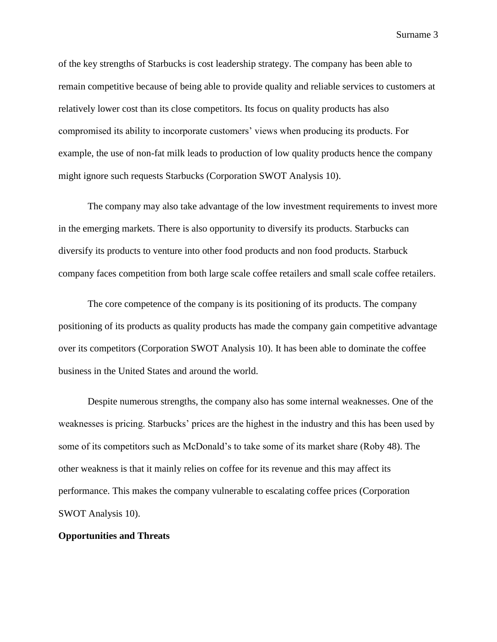of the key strengths of Starbucks is cost leadership strategy. The company has been able to remain competitive because of being able to provide quality and reliable services to customers at relatively lower cost than its close competitors. Its focus on quality products has also compromised its ability to incorporate customers' views when producing its products. For example, the use of non-fat milk leads to production of low quality products hence the company might ignore such requests Starbucks (Corporation SWOT Analysis 10).

The company may also take advantage of the low investment requirements to invest more in the emerging markets. There is also opportunity to diversify its products. Starbucks can diversify its products to venture into other food products and non food products. Starbuck company faces competition from both large scale coffee retailers and small scale coffee retailers.

The core competence of the company is its positioning of its products. The company positioning of its products as quality products has made the company gain competitive advantage over its competitors (Corporation SWOT Analysis 10). It has been able to dominate the coffee business in the United States and around the world.

Despite numerous strengths, the company also has some internal weaknesses. One of the weaknesses is pricing. Starbucks' prices are the highest in the industry and this has been used by some of its competitors such as McDonald's to take some of its market share (Roby 48). The other weakness is that it mainly relies on coffee for its revenue and this may affect its performance. This makes the company vulnerable to escalating coffee prices (Corporation SWOT Analysis 10).

### **Opportunities and Threats**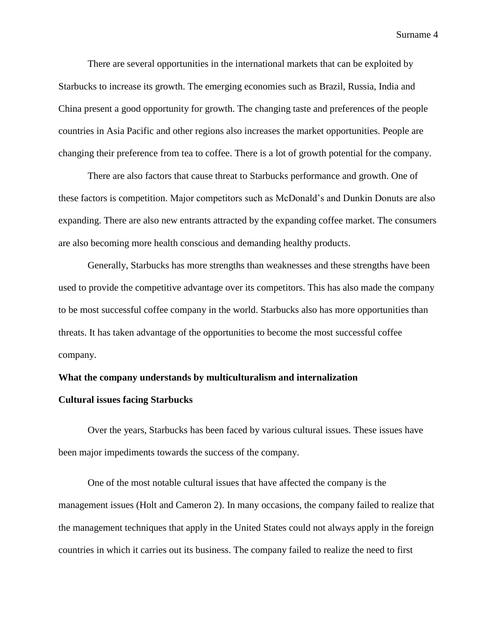There are several opportunities in the international markets that can be exploited by Starbucks to increase its growth. The emerging economies such as Brazil, Russia, India and China present a good opportunity for growth. The changing taste and preferences of the people countries in Asia Pacific and other regions also increases the market opportunities. People are changing their preference from tea to coffee. There is a lot of growth potential for the company.

There are also factors that cause threat to Starbucks performance and growth. One of these factors is competition. Major competitors such as McDonald's and Dunkin Donuts are also expanding. There are also new entrants attracted by the expanding coffee market. The consumers are also becoming more health conscious and demanding healthy products.

Generally, Starbucks has more strengths than weaknesses and these strengths have been used to provide the competitive advantage over its competitors. This has also made the company to be most successful coffee company in the world. Starbucks also has more opportunities than threats. It has taken advantage of the opportunities to become the most successful coffee company.

### **What the company understands by multiculturalism and internalization**

# **Cultural issues facing Starbucks**

Over the years, Starbucks has been faced by various cultural issues. These issues have been major impediments towards the success of the company.

One of the most notable cultural issues that have affected the company is the management issues (Holt and Cameron 2). In many occasions, the company failed to realize that the management techniques that apply in the United States could not always apply in the foreign countries in which it carries out its business. The company failed to realize the need to first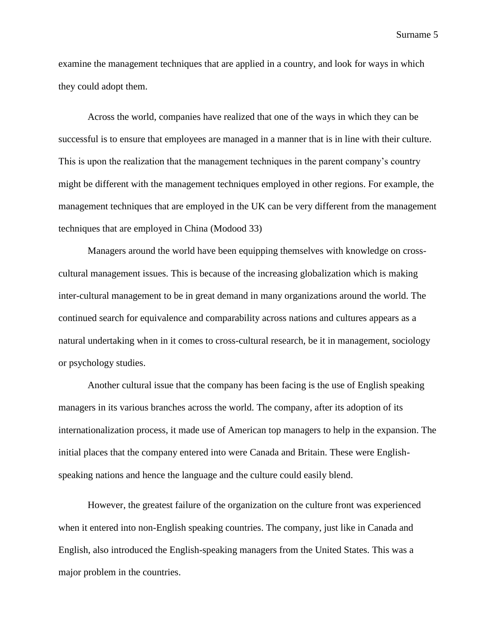examine the management techniques that are applied in a country, and look for ways in which they could adopt them.

Across the world, companies have realized that one of the ways in which they can be successful is to ensure that employees are managed in a manner that is in line with their culture. This is upon the realization that the management techniques in the parent company's country might be different with the management techniques employed in other regions. For example, the management techniques that are employed in the UK can be very different from the management techniques that are employed in China (Modood 33)

Managers around the world have been equipping themselves with knowledge on crosscultural management issues. This is because of the increasing globalization which is making inter-cultural management to be in great demand in many organizations around the world. The continued search for equivalence and comparability across nations and cultures appears as a natural undertaking when in it comes to cross-cultural research, be it in management, sociology or psychology studies.

Another cultural issue that the company has been facing is the use of English speaking managers in its various branches across the world. The company, after its adoption of its internationalization process, it made use of American top managers to help in the expansion. The initial places that the company entered into were Canada and Britain. These were Englishspeaking nations and hence the language and the culture could easily blend.

However, the greatest failure of the organization on the culture front was experienced when it entered into non-English speaking countries. The company, just like in Canada and English, also introduced the English-speaking managers from the United States. This was a major problem in the countries.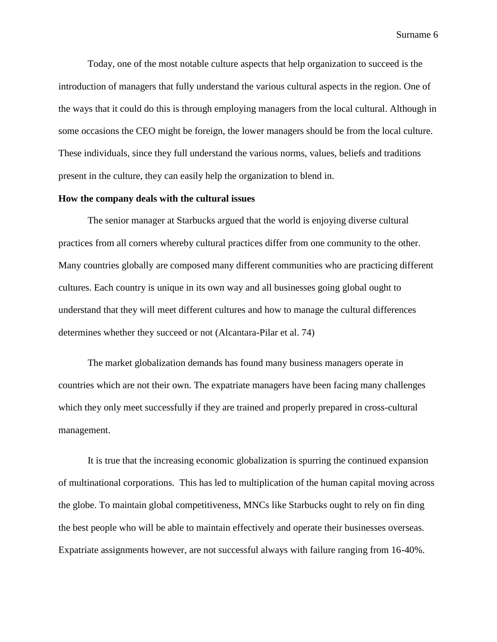Today, one of the most notable culture aspects that help organization to succeed is the introduction of managers that fully understand the various cultural aspects in the region. One of the ways that it could do this is through employing managers from the local cultural. Although in some occasions the CEO might be foreign, the lower managers should be from the local culture. These individuals, since they full understand the various norms, values, beliefs and traditions present in the culture, they can easily help the organization to blend in.

# **How the company deals with the cultural issues**

The senior manager at Starbucks argued that the world is enjoying diverse cultural practices from all corners whereby cultural practices differ from one community to the other. Many countries globally are composed many different communities who are practicing different cultures. Each country is unique in its own way and all businesses going global ought to understand that they will meet different cultures and how to manage the cultural differences determines whether they succeed or not (Alcantara-Pilar et al. 74)

The market globalization demands has found many business managers operate in countries which are not their own. The expatriate managers have been facing many challenges which they only meet successfully if they are trained and properly prepared in cross-cultural management.

It is true that the increasing economic globalization is spurring the continued expansion of multinational corporations. This has led to multiplication of the human capital moving across the globe. To maintain global competitiveness, MNCs like Starbucks ought to rely on fin ding the best people who will be able to maintain effectively and operate their businesses overseas. Expatriate assignments however, are not successful always with failure ranging from 16-40%.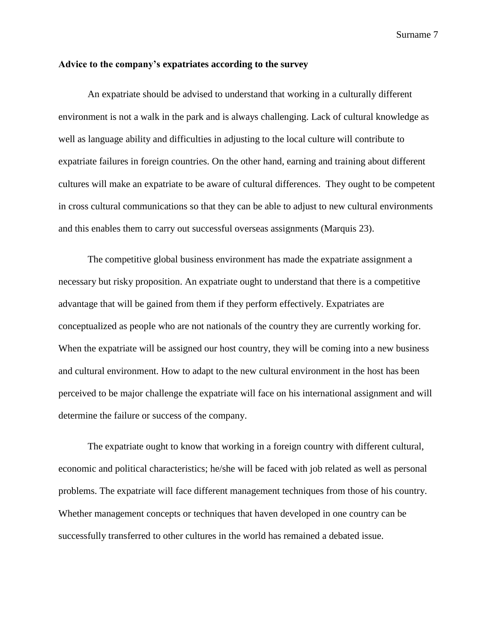### **Advice to the company's expatriates according to the survey**

An expatriate should be advised to understand that working in a culturally different environment is not a walk in the park and is always challenging. Lack of cultural knowledge as well as language ability and difficulties in adjusting to the local culture will contribute to expatriate failures in foreign countries. On the other hand, earning and training about different cultures will make an expatriate to be aware of cultural differences. They ought to be competent in cross cultural communications so that they can be able to adjust to new cultural environments and this enables them to carry out successful overseas assignments (Marquis 23).

The competitive global business environment has made the expatriate assignment a necessary but risky proposition. An expatriate ought to understand that there is a competitive advantage that will be gained from them if they perform effectively. Expatriates are conceptualized as people who are not nationals of the country they are currently working for. When the expatriate will be assigned our host country, they will be coming into a new business and cultural environment. How to adapt to the new cultural environment in the host has been perceived to be major challenge the expatriate will face on his international assignment and will determine the failure or success of the company.

The expatriate ought to know that working in a foreign country with different cultural, economic and political characteristics; he/she will be faced with job related as well as personal problems. The expatriate will face different management techniques from those of his country. Whether management concepts or techniques that haven developed in one country can be successfully transferred to other cultures in the world has remained a debated issue.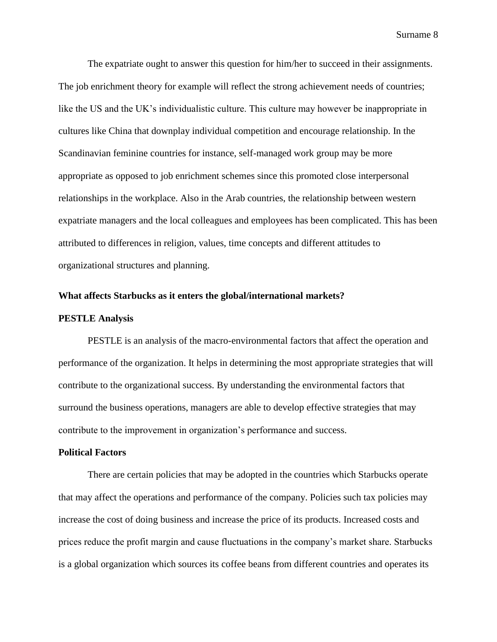The expatriate ought to answer this question for him/her to succeed in their assignments. The job enrichment theory for example will reflect the strong achievement needs of countries; like the US and the UK's individualistic culture. This culture may however be inappropriate in cultures like China that downplay individual competition and encourage relationship. In the Scandinavian feminine countries for instance, self-managed work group may be more appropriate as opposed to job enrichment schemes since this promoted close interpersonal relationships in the workplace. Also in the Arab countries, the relationship between western expatriate managers and the local colleagues and employees has been complicated. This has been attributed to differences in religion, values, time concepts and different attitudes to organizational structures and planning.

# **What affects Starbucks as it enters the global/international markets?**

### **PESTLE Analysis**

PESTLE is an analysis of the macro-environmental factors that affect the operation and performance of the organization. It helps in determining the most appropriate strategies that will contribute to the organizational success. By understanding the environmental factors that surround the business operations, managers are able to develop effective strategies that may contribute to the improvement in organization's performance and success.

# **Political Factors**

There are certain policies that may be adopted in the countries which Starbucks operate that may affect the operations and performance of the company. Policies such tax policies may increase the cost of doing business and increase the price of its products. Increased costs and prices reduce the profit margin and cause fluctuations in the company's market share. Starbucks is a global organization which sources its coffee beans from different countries and operates its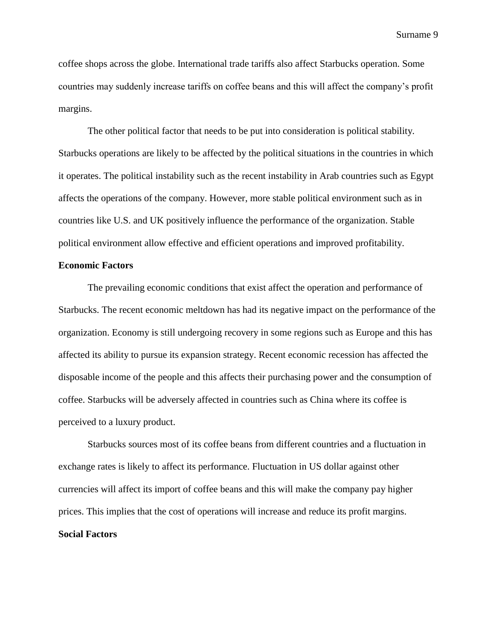coffee shops across the globe. International trade tariffs also affect Starbucks operation. Some countries may suddenly increase tariffs on coffee beans and this will affect the company's profit margins.

The other political factor that needs to be put into consideration is political stability. Starbucks operations are likely to be affected by the political situations in the countries in which it operates. The political instability such as the recent instability in Arab countries such as Egypt affects the operations of the company. However, more stable political environment such as in countries like U.S. and UK positively influence the performance of the organization. Stable political environment allow effective and efficient operations and improved profitability.

# **Economic Factors**

The prevailing economic conditions that exist affect the operation and performance of Starbucks. The recent economic meltdown has had its negative impact on the performance of the organization. Economy is still undergoing recovery in some regions such as Europe and this has affected its ability to pursue its expansion strategy. Recent economic recession has affected the disposable income of the people and this affects their purchasing power and the consumption of coffee. Starbucks will be adversely affected in countries such as China where its coffee is perceived to a luxury product.

Starbucks sources most of its coffee beans from different countries and a fluctuation in exchange rates is likely to affect its performance. Fluctuation in US dollar against other currencies will affect its import of coffee beans and this will make the company pay higher prices. This implies that the cost of operations will increase and reduce its profit margins. **Social Factors**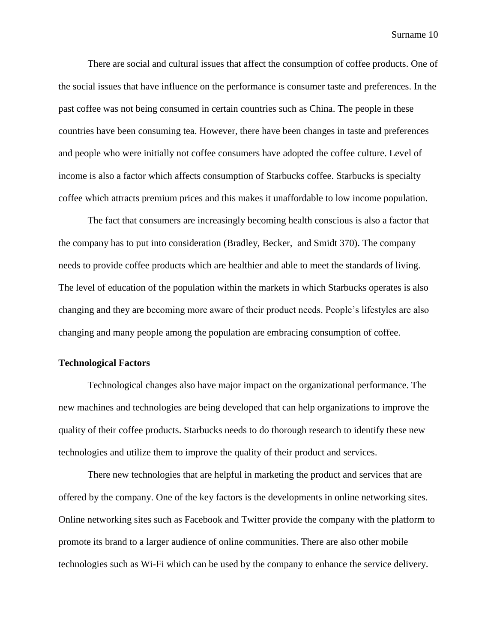There are social and cultural issues that affect the consumption of coffee products. One of the social issues that have influence on the performance is consumer taste and preferences. In the past coffee was not being consumed in certain countries such as China. The people in these countries have been consuming tea. However, there have been changes in taste and preferences and people who were initially not coffee consumers have adopted the coffee culture. Level of income is also a factor which affects consumption of Starbucks coffee. Starbucks is specialty coffee which attracts premium prices and this makes it unaffordable to low income population.

The fact that consumers are increasingly becoming health conscious is also a factor that the company has to put into consideration (Bradley, Becker, and Smidt 370). The company needs to provide coffee products which are healthier and able to meet the standards of living. The level of education of the population within the markets in which Starbucks operates is also changing and they are becoming more aware of their product needs. People's lifestyles are also changing and many people among the population are embracing consumption of coffee.

# **Technological Factors**

Technological changes also have major impact on the organizational performance. The new machines and technologies are being developed that can help organizations to improve the quality of their coffee products. Starbucks needs to do thorough research to identify these new technologies and utilize them to improve the quality of their product and services.

There new technologies that are helpful in marketing the product and services that are offered by the company. One of the key factors is the developments in online networking sites. Online networking sites such as Facebook and Twitter provide the company with the platform to promote its brand to a larger audience of online communities. There are also other mobile technologies such as Wi-Fi which can be used by the company to enhance the service delivery.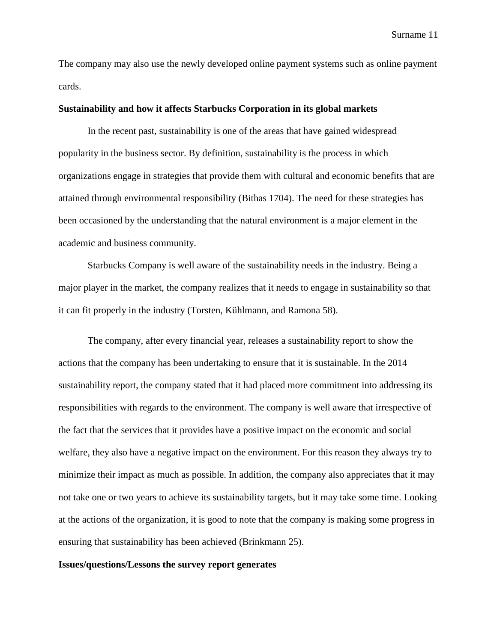The company may also use the newly developed online payment systems such as online payment cards.

# **Sustainability and how it affects Starbucks Corporation in its global markets**

In the recent past, sustainability is one of the areas that have gained widespread popularity in the business sector. By definition, sustainability is the process in which organizations engage in strategies that provide them with cultural and economic benefits that are attained through environmental responsibility (Bithas 1704). The need for these strategies has been occasioned by the understanding that the natural environment is a major element in the academic and business community.

Starbucks Company is well aware of the sustainability needs in the industry. Being a major player in the market, the company realizes that it needs to engage in sustainability so that it can fit properly in the industry (Torsten, Kühlmann, and Ramona 58).

The company, after every financial year, releases a sustainability report to show the actions that the company has been undertaking to ensure that it is sustainable. In the 2014 sustainability report, the company stated that it had placed more commitment into addressing its responsibilities with regards to the environment. The company is well aware that irrespective of the fact that the services that it provides have a positive impact on the economic and social welfare, they also have a negative impact on the environment. For this reason they always try to minimize their impact as much as possible. In addition, the company also appreciates that it may not take one or two years to achieve its sustainability targets, but it may take some time. Looking at the actions of the organization, it is good to note that the company is making some progress in ensuring that sustainability has been achieved (Brinkmann 25).

### **Issues/questions/Lessons the survey report generates**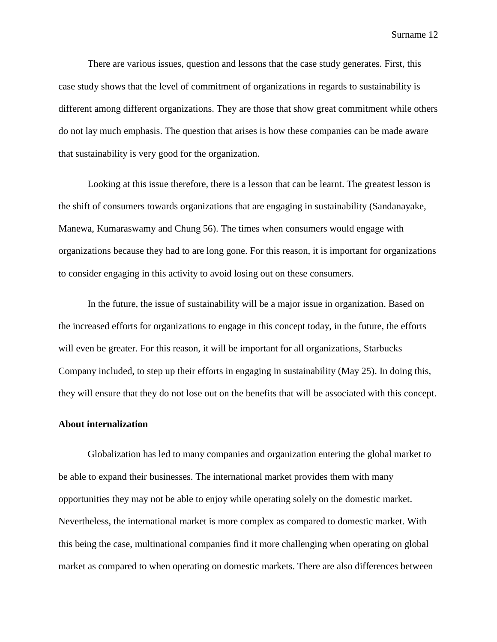There are various issues, question and lessons that the case study generates. First, this case study shows that the level of commitment of organizations in regards to sustainability is different among different organizations. They are those that show great commitment while others do not lay much emphasis. The question that arises is how these companies can be made aware that sustainability is very good for the organization.

Looking at this issue therefore, there is a lesson that can be learnt. The greatest lesson is the shift of consumers towards organizations that are engaging in sustainability (Sandanayake, Manewa, Kumaraswamy and Chung 56). The times when consumers would engage with organizations because they had to are long gone. For this reason, it is important for organizations to consider engaging in this activity to avoid losing out on these consumers.

In the future, the issue of sustainability will be a major issue in organization. Based on the increased efforts for organizations to engage in this concept today, in the future, the efforts will even be greater. For this reason, it will be important for all organizations, Starbucks Company included, to step up their efforts in engaging in sustainability (May 25). In doing this, they will ensure that they do not lose out on the benefits that will be associated with this concept.

# **About internalization**

Globalization has led to many companies and organization entering the global market to be able to expand their businesses. The international market provides them with many opportunities they may not be able to enjoy while operating solely on the domestic market. Nevertheless, the international market is more complex as compared to domestic market. With this being the case, multinational companies find it more challenging when operating on global market as compared to when operating on domestic markets. There are also differences between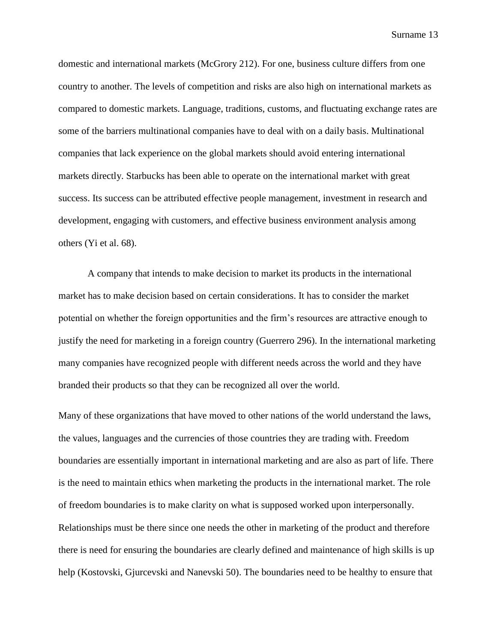domestic and international markets (McGrory 212). For one, business culture differs from one country to another. The levels of competition and risks are also high on international markets as compared to domestic markets. Language, traditions, customs, and fluctuating exchange rates are some of the barriers multinational companies have to deal with on a daily basis. Multinational companies that lack experience on the global markets should avoid entering international markets directly. Starbucks has been able to operate on the international market with great success. Its success can be attributed effective people management, investment in research and development, engaging with customers, and effective business environment analysis among others (Yi et al. 68).

A company that intends to make decision to market its products in the international market has to make decision based on certain considerations. It has to consider the market potential on whether the foreign opportunities and the firm's resources are attractive enough to justify the need for marketing in a foreign country (Guerrero 296). In the international marketing many companies have recognized people with different needs across the world and they have branded their products so that they can be recognized all over the world.

Many of these organizations that have moved to other nations of the world understand the laws, the values, languages and the currencies of those countries they are trading with. Freedom boundaries are essentially important in international marketing and are also as part of life. There is the need to maintain ethics when marketing the products in the international market. The role of freedom boundaries is to make clarity on what is supposed worked upon interpersonally. Relationships must be there since one needs the other in marketing of the product and therefore there is need for ensuring the boundaries are clearly defined and maintenance of high skills is up help (Kostovski, Gjurcevski and Nanevski 50). The boundaries need to be healthy to ensure that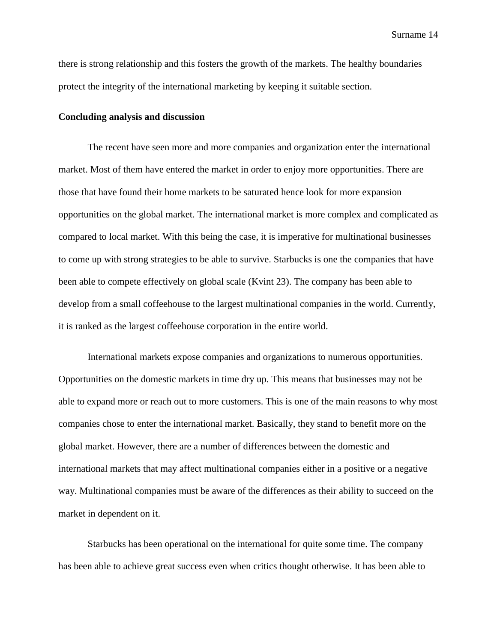there is strong relationship and this fosters the growth of the markets. The healthy boundaries protect the integrity of the international marketing by keeping it suitable section.

### **Concluding analysis and discussion**

The recent have seen more and more companies and organization enter the international market. Most of them have entered the market in order to enjoy more opportunities. There are those that have found their home markets to be saturated hence look for more expansion opportunities on the global market. The international market is more complex and complicated as compared to local market. With this being the case, it is imperative for multinational businesses to come up with strong strategies to be able to survive. Starbucks is one the companies that have been able to compete effectively on global scale (Kvint 23). The company has been able to develop from a small coffeehouse to the largest multinational companies in the world. Currently, it is ranked as the largest coffeehouse corporation in the entire world.

International markets expose companies and organizations to numerous opportunities. Opportunities on the domestic markets in time dry up. This means that businesses may not be able to expand more or reach out to more customers. This is one of the main reasons to why most companies chose to enter the international market. Basically, they stand to benefit more on the global market. However, there are a number of differences between the domestic and international markets that may affect multinational companies either in a positive or a negative way. Multinational companies must be aware of the differences as their ability to succeed on the market in dependent on it.

Starbucks has been operational on the international for quite some time. The company has been able to achieve great success even when critics thought otherwise. It has been able to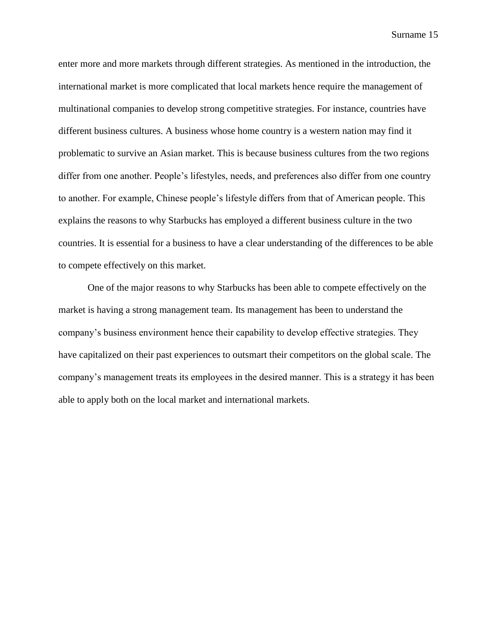enter more and more markets through different strategies. As mentioned in the introduction, the international market is more complicated that local markets hence require the management of multinational companies to develop strong competitive strategies. For instance, countries have different business cultures. A business whose home country is a western nation may find it problematic to survive an Asian market. This is because business cultures from the two regions differ from one another. People's lifestyles, needs, and preferences also differ from one country to another. For example, Chinese people's lifestyle differs from that of American people. This explains the reasons to why Starbucks has employed a different business culture in the two countries. It is essential for a business to have a clear understanding of the differences to be able to compete effectively on this market.

One of the major reasons to why Starbucks has been able to compete effectively on the market is having a strong management team. Its management has been to understand the company's business environment hence their capability to develop effective strategies. They have capitalized on their past experiences to outsmart their competitors on the global scale. The company's management treats its employees in the desired manner. This is a strategy it has been able to apply both on the local market and international markets.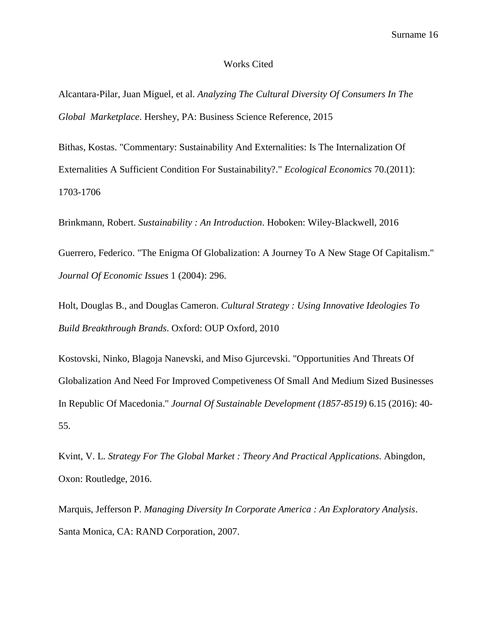### Works Cited

Alcantara-Pilar, Juan Miguel, et al. *Analyzing The Cultural Diversity Of Consumers In The Global Marketplace*. Hershey, PA: Business Science Reference, 2015

Bithas, Kostas. "Commentary: Sustainability And Externalities: Is The Internalization Of Externalities A Sufficient Condition For Sustainability?." *Ecological Economics* 70.(2011): 1703-1706

Brinkmann, Robert. *Sustainability : An Introduction*. Hoboken: Wiley-Blackwell, 2016

Guerrero, Federico. "The Enigma Of Globalization: A Journey To A New Stage Of Capitalism." *Journal Of Economic Issues* 1 (2004): 296.

Holt, Douglas B., and Douglas Cameron. *Cultural Strategy : Using Innovative Ideologies To Build Breakthrough Brands*. Oxford: OUP Oxford, 2010

Kostovski, Ninko, Blagoja Nanevski, and Miso Gjurcevski. "Opportunities And Threats Of Globalization And Need For Improved Competiveness Of Small And Medium Sized Businesses In Republic Of Macedonia." *Journal Of Sustainable Development (1857-8519)* 6.15 (2016): 40- 55.

Kvint, V. L. *Strategy For The Global Market : Theory And Practical Applications*. Abingdon, Oxon: Routledge, 2016.

Marquis, Jefferson P. *Managing Diversity In Corporate America : An Exploratory Analysis*. Santa Monica, CA: RAND Corporation, 2007.